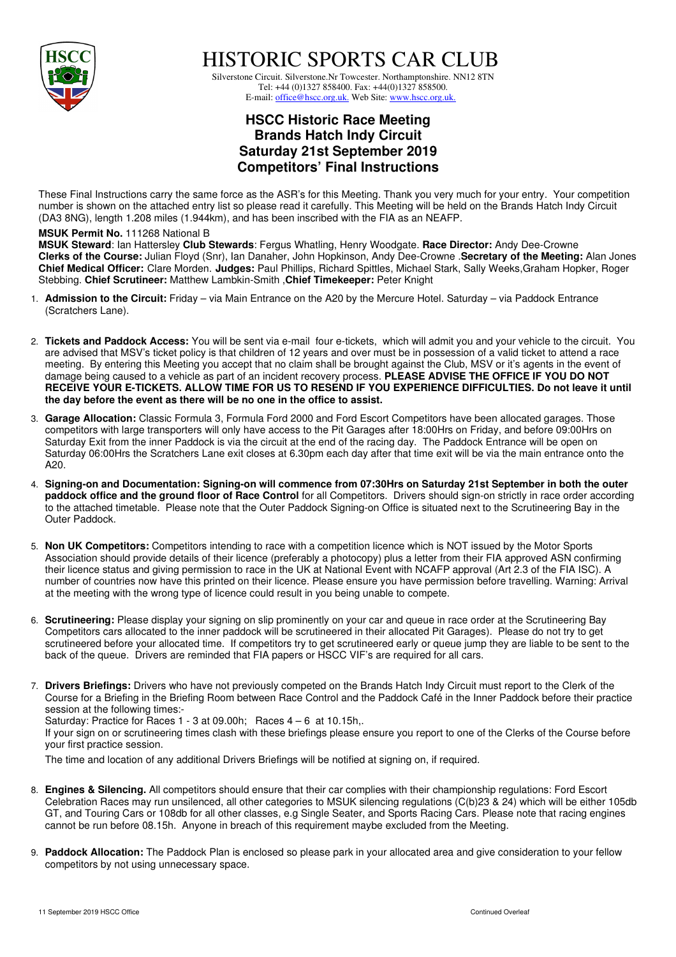

HISTORIC SPORTS CAR CLUB

 Silverstone Circuit. Silverstone.Nr Towcester. Northamptonshire. NN12 8TN Tel: +44 (0)1327 858400. Fax: +44(0)1327 858500. E-mail: office@hscc.org.uk. Web Site: www.hscc.org.uk.

## **HSCC Historic Race Meeting Brands Hatch Indy Circuit Saturday 21st September 2019 Competitors' Final Instructions**

These Final Instructions carry the same force as the ASR's for this Meeting. Thank you very much for your entry. Your competition number is shown on the attached entry list so please read it carefully. This Meeting will be held on the Brands Hatch Indy Circuit (DA3 8NG), length 1.208 miles (1.944km), and has been inscribed with the FIA as an NEAFP.

## **MSUK Permit No.** 111268 National B

**MSUK Steward**: Ian Hattersley **Club Stewards**: Fergus Whatling, Henry Woodgate. **Race Director:** Andy Dee-Crowne **Clerks of the Course:** Julian Floyd (Snr), Ian Danaher, John Hopkinson, Andy Dee-Crowne .**Secretary of the Meeting:** Alan Jones **Chief Medical Officer:** Clare Morden. **Judges:** Paul Phillips, Richard Spittles, Michael Stark, Sally Weeks,Graham Hopker, Roger Stebbing. **Chief Scrutineer:** Matthew Lambkin-Smith ,**Chief Timekeeper:** Peter Knight

- 1. **Admission to the Circuit:** Friday via Main Entrance on the A20 by the Mercure Hotel. Saturday via Paddock Entrance (Scratchers Lane).
- 2. **Tickets and Paddock Access:** You will be sent via e-mail four e-tickets, which will admit you and your vehicle to the circuit. You are advised that MSV's ticket policy is that children of 12 years and over must be in possession of a valid ticket to attend a race meeting. By entering this Meeting you accept that no claim shall be brought against the Club, MSV or it's agents in the event of damage being caused to a vehicle as part of an incident recovery process. **PLEASE ADVISE THE OFFICE IF YOU DO NOT RECEIVE YOUR E-TICKETS. ALLOW TIME FOR US TO RESEND IF YOU EXPERIENCE DIFFICULTIES. Do not leave it until the day before the event as there will be no one in the office to assist.**
- 3. **Garage Allocation:** Classic Formula 3, Formula Ford 2000 and Ford Escort Competitors have been allocated garages. Those competitors with large transporters will only have access to the Pit Garages after 18:00Hrs on Friday, and before 09:00Hrs on Saturday Exit from the inner Paddock is via the circuit at the end of the racing day. The Paddock Entrance will be open on Saturday 06:00Hrs the Scratchers Lane exit closes at 6.30pm each day after that time exit will be via the main entrance onto the A20.
- 4. **Signing-on and Documentation: Signing-on will commence from 07:30Hrs on Saturday 21st September in both the outer paddock office and the ground floor of Race Control** for all Competitors. Drivers should sign-on strictly in race order according to the attached timetable. Please note that the Outer Paddock Signing-on Office is situated next to the Scrutineering Bay in the Outer Paddock.
- 5. **Non UK Competitors:** Competitors intending to race with a competition licence which is NOT issued by the Motor Sports Association should provide details of their licence (preferably a photocopy) plus a letter from their FIA approved ASN confirming their licence status and giving permission to race in the UK at National Event with NCAFP approval (Art 2.3 of the FIA ISC). A number of countries now have this printed on their licence. Please ensure you have permission before travelling. Warning: Arrival at the meeting with the wrong type of licence could result in you being unable to compete.
- 6. **Scrutineering:** Please display your signing on slip prominently on your car and queue in race order at the Scrutineering Bay Competitors cars allocated to the inner paddock will be scrutineered in their allocated Pit Garages). Please do not try to get scrutineered before your allocated time. If competitors try to get scrutineered early or queue jump they are liable to be sent to the back of the queue. Drivers are reminded that FIA papers or HSCC VIF's are required for all cars.
- 7. **Drivers Briefings:** Drivers who have not previously competed on the Brands Hatch Indy Circuit must report to the Clerk of the Course for a Briefing in the Briefing Room between Race Control and the Paddock Café in the Inner Paddock before their practice session at the following times:- Saturday: Practice for Races  $1 - 3$  at 09.00h; Races  $4 - 6$  at 10.15h,. If your sign on or scrutineering times clash with these briefings please ensure you report to one of the Clerks of the Course before your first practice session.

The time and location of any additional Drivers Briefings will be notified at signing on, if required.

- 8. **Engines & Silencing.** All competitors should ensure that their car complies with their championship regulations: Ford Escort Celebration Races may run unsilenced, all other categories to MSUK silencing regulations (C(b)23 & 24) which will be either 105db GT, and Touring Cars or 108db for all other classes, e.g Single Seater, and Sports Racing Cars. Please note that racing engines cannot be run before 08.15h. Anyone in breach of this requirement maybe excluded from the Meeting.
- 9. **Paddock Allocation:** The Paddock Plan is enclosed so please park in your allocated area and give consideration to your fellow competitors by not using unnecessary space.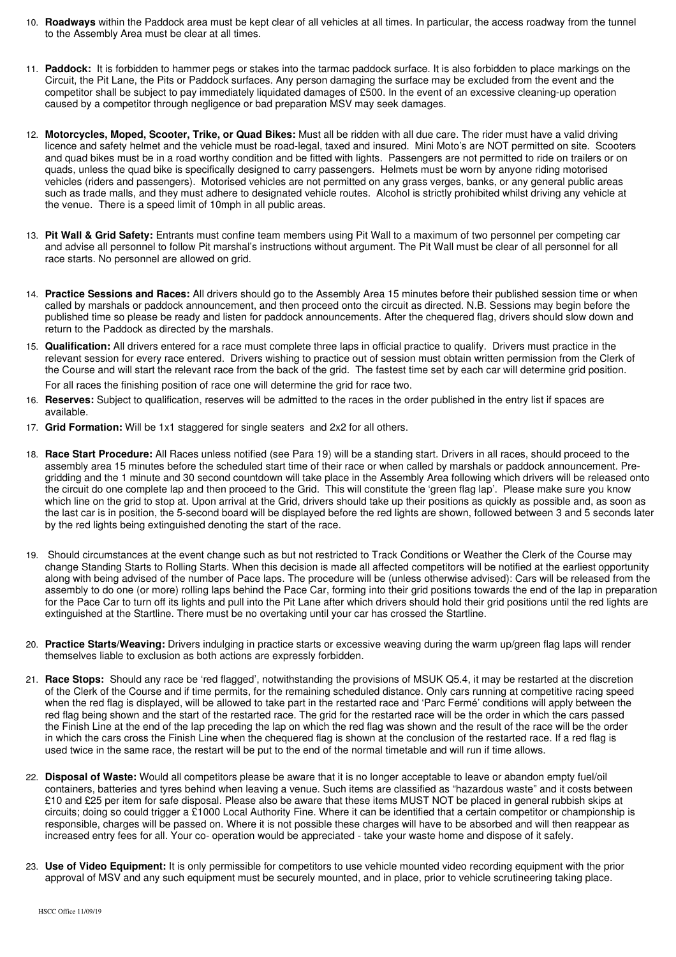- 10. **Roadways** within the Paddock area must be kept clear of all vehicles at all times. In particular, the access roadway from the tunnel to the Assembly Area must be clear at all times.
- 11. **Paddock:** It is forbidden to hammer pegs or stakes into the tarmac paddock surface. It is also forbidden to place markings on the Circuit, the Pit Lane, the Pits or Paddock surfaces. Any person damaging the surface may be excluded from the event and the competitor shall be subject to pay immediately liquidated damages of £500. In the event of an excessive cleaning-up operation caused by a competitor through negligence or bad preparation MSV may seek damages.
- 12. **Motorcycles, Moped, Scooter, Trike, or Quad Bikes:** Must all be ridden with all due care. The rider must have a valid driving licence and safety helmet and the vehicle must be road-legal, taxed and insured. Mini Moto's are NOT permitted on site. Scooters and quad bikes must be in a road worthy condition and be fitted with lights. Passengers are not permitted to ride on trailers or on quads, unless the quad bike is specifically designed to carry passengers. Helmets must be worn by anyone riding motorised vehicles (riders and passengers). Motorised vehicles are not permitted on any grass verges, banks, or any general public areas such as trade malls, and they must adhere to designated vehicle routes. Alcohol is strictly prohibited whilst driving any vehicle at the venue. There is a speed limit of 10mph in all public areas.
- 13. **Pit Wall & Grid Safety:** Entrants must confine team members using Pit Wall to a maximum of two personnel per competing car and advise all personnel to follow Pit marshal's instructions without argument. The Pit Wall must be clear of all personnel for all race starts. No personnel are allowed on grid.
- 14. **Practice Sessions and Races:** All drivers should go to the Assembly Area 15 minutes before their published session time or when called by marshals or paddock announcement, and then proceed onto the circuit as directed. N.B. Sessions may begin before the published time so please be ready and listen for paddock announcements. After the chequered flag, drivers should slow down and return to the Paddock as directed by the marshals.
- 15. **Qualification:** All drivers entered for a race must complete three laps in official practice to qualify. Drivers must practice in the relevant session for every race entered. Drivers wishing to practice out of session must obtain written permission from the Clerk of the Course and will start the relevant race from the back of the grid.The fastest time set by each car will determine grid position.

For all races the finishing position of race one will determine the grid for race two.

- 16. **Reserves:** Subject to qualification, reserves will be admitted to the races in the order published in the entry list if spaces are available.
- 17. **Grid Formation:** Will be 1x1 staggered for single seaters and 2x2 for all others.
- 18. **Race Start Procedure:** All Races unless notified (see Para 19) will be a standing start. Drivers in all races, should proceed to the assembly area 15 minutes before the scheduled start time of their race or when called by marshals or paddock announcement. Pregridding and the 1 minute and 30 second countdown will take place in the Assembly Area following which drivers will be released onto the circuit do one complete lap and then proceed to the Grid. This will constitute the 'green flag lap'. Please make sure you know which line on the grid to stop at. Upon arrival at the Grid, drivers should take up their positions as quickly as possible and, as soon as the last car is in position, the 5-second board will be displayed before the red lights are shown, followed between 3 and 5 seconds later by the red lights being extinguished denoting the start of the race.
- 19. Should circumstances at the event change such as but not restricted to Track Conditions or Weather the Clerk of the Course may change Standing Starts to Rolling Starts. When this decision is made all affected competitors will be notified at the earliest opportunity along with being advised of the number of Pace laps. The procedure will be (unless otherwise advised): Cars will be released from the assembly to do one (or more) rolling laps behind the Pace Car, forming into their grid positions towards the end of the lap in preparation for the Pace Car to turn off its lights and pull into the Pit Lane after which drivers should hold their grid positions until the red lights are extinguished at the Startline. There must be no overtaking until your car has crossed the Startline.
- 20. **Practice Starts/Weaving:** Drivers indulging in practice starts or excessive weaving during the warm up/green flag laps will render themselves liable to exclusion as both actions are expressly forbidden.
- 21. **Race Stops:** Should any race be 'red flagged', notwithstanding the provisions of MSUK Q5.4, it may be restarted at the discretion of the Clerk of the Course and if time permits, for the remaining scheduled distance. Only cars running at competitive racing speed when the red flag is displayed, will be allowed to take part in the restarted race and 'Parc Fermé' conditions will apply between the red flag being shown and the start of the restarted race. The grid for the restarted race will be the order in which the cars passed the Finish Line at the end of the lap preceding the lap on which the red flag was shown and the result of the race will be the order in which the cars cross the Finish Line when the chequered flag is shown at the conclusion of the restarted race. If a red flag is used twice in the same race, the restart will be put to the end of the normal timetable and will run if time allows.
- 22. **Disposal of Waste:** Would all competitors please be aware that it is no longer acceptable to leave or abandon empty fuel/oil containers, batteries and tyres behind when leaving a venue. Such items are classified as "hazardous waste" and it costs between £10 and £25 per item for safe disposal. Please also be aware that these items MUST NOT be placed in general rubbish skips at circuits; doing so could trigger a £1000 Local Authority Fine. Where it can be identified that a certain competitor or championship is responsible, charges will be passed on. Where it is not possible these charges will have to be absorbed and will then reappear as increased entry fees for all. Your co- operation would be appreciated - take your waste home and dispose of it safely.
- 23. **Use of Video Equipment:** It is only permissible for competitors to use vehicle mounted video recording equipment with the prior approval of MSV and any such equipment must be securely mounted, and in place, prior to vehicle scrutineering taking place.